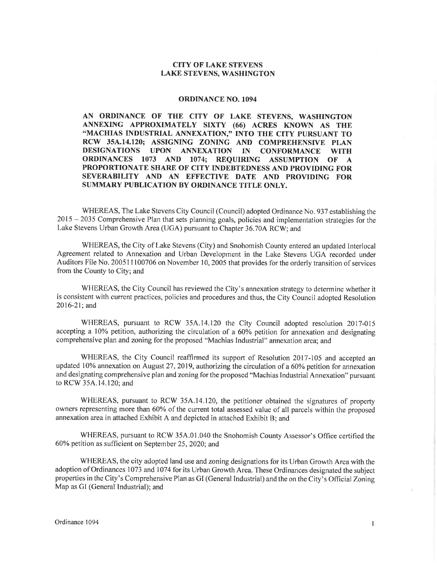## CITY OF LAKE STEVENS LAKE STEVENS, WASHINGTON

## ORDINANCE NO. 1094

AN ORDINANCE OF THE CITY OF LAKE STEVENS, WASHINGTON ANNEXING APPROXIMATELY SIXTY (66) ACRES KNOWN AS THE "MACHIAS INDUSTRIAL ANNEXATION," INTO THE CITY PURSUANT TO RCW 35A.14.120; ASSIGNING ZONING AND COMPREHENSIVE PLAN DESIGNATIONS UPON ANNEXATION IN CONFORMANCE WITH ORDINANCES 1073 AND 1074; REQUIRING ASSUMPTION OF <sup>A</sup> PROPORTIONATE SHARE OF CITY INDEBTEDNESS AND PROVIDING FOR SEVERABILITY AND AN EFFECTIVE DATE AND PROVIDING FOR SUMMARY PUBLICATION BY ORDINANCE TITLE ONLY.

WHEREAS, The Lake Stevens City Council (Council) adopted Ordinance No. 937 establishing the <sup>2015</sup>- 2035 Comprehensive PIan that sets planning goals, policies and implementation strategies for the Lake Stevens Urban Growth Area (UGA) pursuant to Chapter 36.70A RCW; and

WHEREAS, the City of Lake Stevens (City) and Snohomish County entered an updated Interlocal Agreement related to Annexation and Urban Development in the Lake Stevens UGA recorded under Auditors File No. 200511100706 on November 10, 2005 that provides for the orderly transition of services from the County to City; and

WHEREAS, the City Council has reviewed the City's annexation strategy to determine whether it is consistent with current practices, policies and procedures and thus, the City Council adopted Resolution 2016-21; and

WHEREAS, pursuant to RCW 35A.14.120 the City Council adopted resolution 2017-015 accepting a 10% petition, authorizing the circulation of a 60% petition for annexation and designating comprehensive plan and zoning for the proposed "Machias Industrial" annexation area; and

WHEREAS, the City Council reaffirmed its support of Resolution 2017-105 and accepted an updated 10% annexation on August 27, 2019, authorizing the circulation of a 60% petition for annexation and designating comprehensive plan and zoning for the proposed "Machias Industrial Annexation" pursuant to RCW 35A.14.120; and

WHEREAS, pursuant to RCW 35A.14.120, the petitioner obtained the signatures of property owners representing more than 60%o of the current total assessed value of all parcels within the proposed annexation area in attached Exhibit A and depicted in attached Exhibit B; and

WHEREAS, pursuant to RCW 35A.01.040 the Snohomish County Assessor's Office certified the 60% petition as sufficient on September 25,2020; and

WHEREAS, the city adopted land use and zoning designations for its Urban Growth Area with the adoption of Ordinances 1073 and 1074 for its Urban Growth Area. These Ordinances designated the subject properties in the City's Comprehensive Plan as GI (General Industrial) and the on the City's Official Zoning Map as GI (General Industrial); and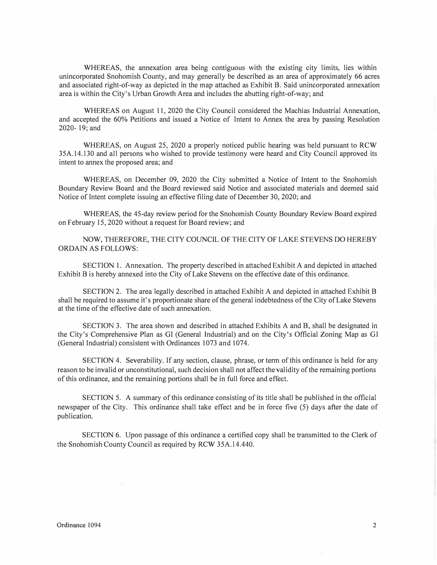WHEREAS, the annexation area being contiguous with the existing city limits, lies within unincorporated Snohomish County, and may generally be described as an area of approximately 66 acres and associated right-of-way as depicted in the map attached as Exhibit B. Said unincorporated annexation area is within the City's Urban Growth Area and includes the abutting right-of-way; and

WHEREAS on August 11, 2020 the City Council considered the Machias Industrial Annexation, and accepted the 60% Petitions and issued a Notice of lntent to Annex the area by passing Resolution 2020- 19; and

WHEREAS, on August 25, 2020 a properly noticed public hearing was held pursuant to RCW 35A.14.130 and all persons who wished to provide testimony were heard and City Council approved its intent to annex the proposed area; and

WHEREAS, on December 09, 2020 the City submitted a Notice of Intent to the Snohomish Boundary Review Board and the Board reviewed said Notice and associated materials and deemed said Notice of Intent complete issuing an effective filing date of December 30, 2020; and

WHEREAS, the 45-day review period for the Snohomish County Boundary Review Board expired on February 15, 2020 without a request for Board review; and

NOW, THEREFORE, THE CITY COUNCIL OF THE CITY OF LAKE STEVENS DO HEREBY ORDAIN AS FOLLOWS:

SECTION 1. Annexation. The property described in attached Exhibit A and depicted in attached Exhibit B is hereby annexed into the City of Lake Stevens on the effective date of this ordinance.

SECTION 2. The area legally described in attached Exhibit A and depicted in attached Exhibit B shall be required to assume it's proportionate share of the general indebtedness of the City of Lake Stevens at the time of the effective date of such annexation.

SECTION 3. The area shown and described in attached Exhibits A and B, shall be designated in the City's Comprehensive Plan as GI (General Industrial) and on the City's Official Zoning Map as GI (General Industrial) consistent with Ordinances 1073 and 1074.

SECTION 4. Severability. If any section, clause, phrase, or term ofthis ordinance is held for any reason to be invalid or unconstitutional, such decision shall not affect the validity of the remaining portions ofthis ordinance, and the remaining portions shall be in full force and effect.

SECTION 5. A summary of this ordinance consisting of its title shall be published in the official newspaper of the City. This ordinance shall take effect and be in force five (5) days after the date of publication.

SECTION 6. Upon passage of this ordinance a certified copy shall be transmitted to the Clerk of the Snohomish County Council as required by RCW 35A. l 4.440.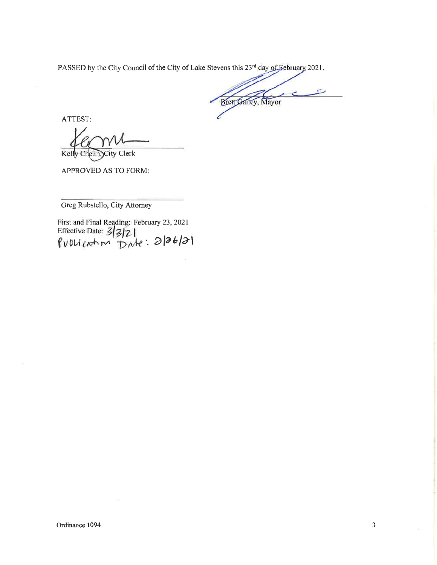PASSED by the City Council of the City of Lake Stevens this  $23<sup>rd</sup>$  day of February 2021

**Brett Gailey**, Mayor

ATTEST:

Kelly Chelin, City Clerk

APPROVED AS TO FORM:

Greg Rubstello, City Attomey

First and Final Reading: February 23,2021 Ellective Date: 5/3/21<br>Publication Date: 2/26/21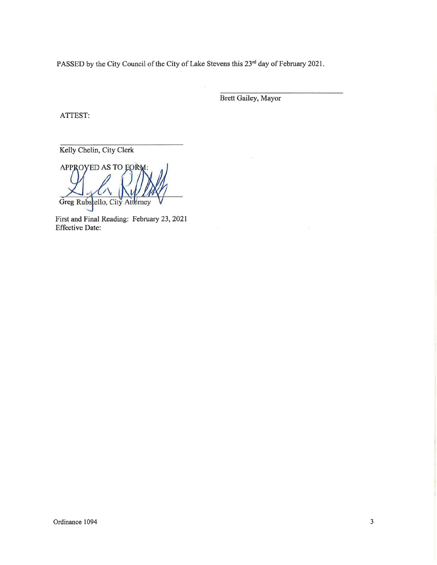PASSED by the City Council of the City of Lake Stevens this 23<sup>rd</sup> day of February 2021.

Brett Gailey, Mayor

ATTEST:

Kelly Chelin, City Clerk

APPROVED AS TO EORY Greg Rubscello, City Attorney

First and Final Reading: February 23,2021 Effective Date: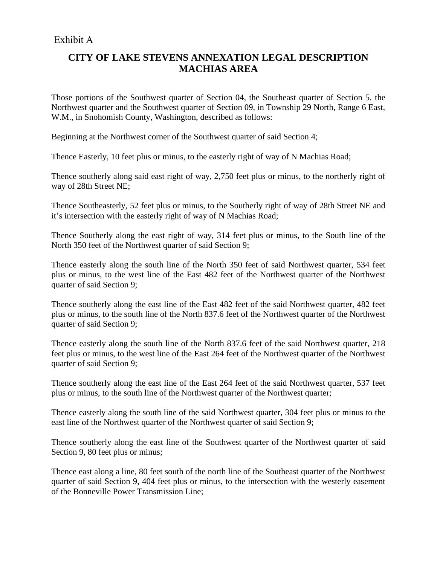## Exhibit A

## **CITY OF LAKE STEVENS ANNEXATION LEGAL DESCRIPTION MACHIAS AREA**

Those portions of the Southwest quarter of Section 04, the Southeast quarter of Section 5, the Northwest quarter and the Southwest quarter of Section 09, in Township 29 North, Range 6 East, W.M., in Snohomish County, Washington, described as follows:

Beginning at the Northwest corner of the Southwest quarter of said Section 4;

Thence Easterly, 10 feet plus or minus, to the easterly right of way of N Machias Road;

Thence southerly along said east right of way, 2,750 feet plus or minus, to the northerly right of way of 28th Street NE;

Thence Southeasterly, 52 feet plus or minus, to the Southerly right of way of 28th Street NE and it's intersection with the easterly right of way of N Machias Road;

Thence Southerly along the east right of way, 314 feet plus or minus, to the South line of the North 350 feet of the Northwest quarter of said Section 9;

Thence easterly along the south line of the North 350 feet of said Northwest quarter, 534 feet plus or minus, to the west line of the East 482 feet of the Northwest quarter of the Northwest quarter of said Section 9;

Thence southerly along the east line of the East 482 feet of the said Northwest quarter, 482 feet plus or minus, to the south line of the North 837.6 feet of the Northwest quarter of the Northwest quarter of said Section 9;

Thence easterly along the south line of the North 837.6 feet of the said Northwest quarter, 218 feet plus or minus, to the west line of the East 264 feet of the Northwest quarter of the Northwest quarter of said Section 9;

Thence southerly along the east line of the East 264 feet of the said Northwest quarter, 537 feet plus or minus, to the south line of the Northwest quarter of the Northwest quarter;

Thence easterly along the south line of the said Northwest quarter, 304 feet plus or minus to the east line of the Northwest quarter of the Northwest quarter of said Section 9;

Thence southerly along the east line of the Southwest quarter of the Northwest quarter of said Section 9, 80 feet plus or minus;

Thence east along a line, 80 feet south of the north line of the Southeast quarter of the Northwest quarter of said Section 9, 404 feet plus or minus, to the intersection with the westerly easement of the Bonneville Power Transmission Line;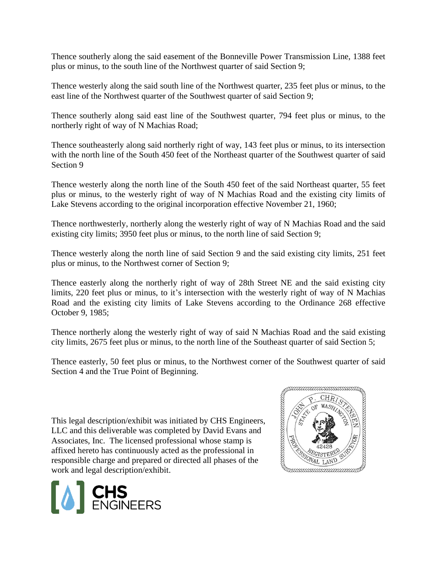Thence southerly along the said easement of the Bonneville Power Transmission Line, 1388 feet plus or minus, to the south line of the Northwest quarter of said Section 9;

Thence westerly along the said south line of the Northwest quarter, 235 feet plus or minus, to the east line of the Northwest quarter of the Southwest quarter of said Section 9;

Thence southerly along said east line of the Southwest quarter, 794 feet plus or minus, to the northerly right of way of N Machias Road;

Thence southeasterly along said northerly right of way, 143 feet plus or minus, to its intersection with the north line of the South 450 feet of the Northeast quarter of the Southwest quarter of said Section 9

Thence westerly along the north line of the South 450 feet of the said Northeast quarter, 55 feet plus or minus, to the westerly right of way of N Machias Road and the existing city limits of Lake Stevens according to the original incorporation effective November 21, 1960;

Thence northwesterly, northerly along the westerly right of way of N Machias Road and the said existing city limits; 3950 feet plus or minus, to the north line of said Section 9;

Thence westerly along the north line of said Section 9 and the said existing city limits, 251 feet plus or minus, to the Northwest corner of Section 9;

Thence easterly along the northerly right of way of 28th Street NE and the said existing city limits, 220 feet plus or minus, to it's intersection with the westerly right of way of N Machias Road and the existing city limits of Lake Stevens according to the Ordinance 268 effective October 9, 1985;

Thence northerly along the westerly right of way of said N Machias Road and the said existing city limits, 2675 feet plus or minus, to the north line of the Southeast quarter of said Section 5;

Thence easterly, 50 feet plus or minus, to the Northwest corner of the Southwest quarter of said Section 4 and the True Point of Beginning.

This legal description/exhibit was initiated by CHS Engineers,<br>LLC and this deliverable was completed by David Evans and<br>Associates, Inc. The licensed professional whose stamp is<br> $\frac{42428}{(25+228)}$ <br> $\frac{42428}{(215+228)}$ <br>LLC and this deliverable was completed by David Evans and Associates, Inc. The licensed professional whose stamp is affixed hereto has continuously acted as the professional in responsible charge and prepared or directed all phases of the work and legal description/exhibit.